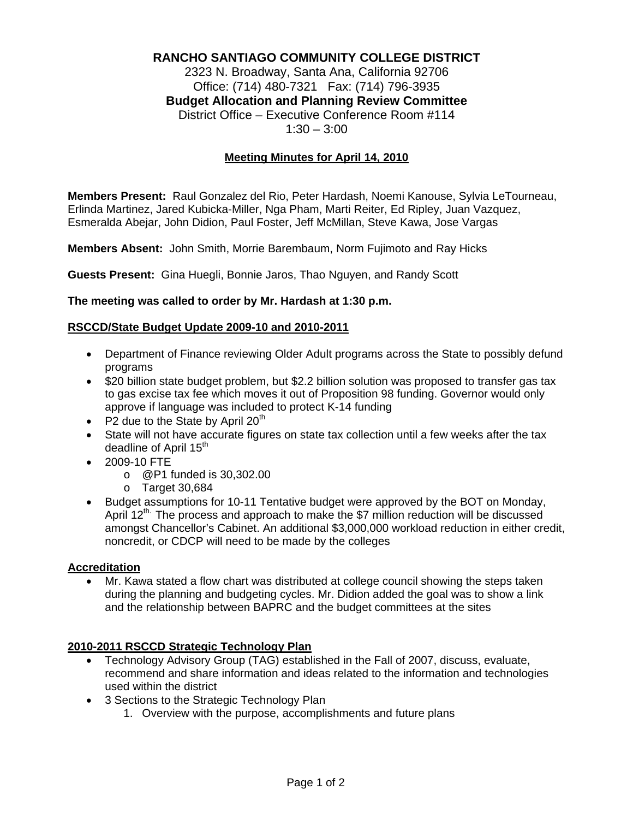# **RANCHO SANTIAGO COMMUNITY COLLEGE DISTRICT**

2323 N. Broadway, Santa Ana, California 92706 Office: (714) 480-7321 Fax: (714) 796-3935 **Budget Allocation and Planning Review Committee** District Office – Executive Conference Room #114  $1:30 - 3:00$ 

## **Meeting Minutes for April 14, 2010**

**Members Present:** Raul Gonzalez del Rio, Peter Hardash, Noemi Kanouse, Sylvia LeTourneau, Erlinda Martinez, Jared Kubicka-Miller, Nga Pham, Marti Reiter, Ed Ripley, Juan Vazquez, Esmeralda Abejar, John Didion, Paul Foster, Jeff McMillan, Steve Kawa, Jose Vargas

**Members Absent:** John Smith, Morrie Barembaum, Norm Fujimoto and Ray Hicks

**Guests Present:** Gina Huegli, Bonnie Jaros, Thao Nguyen, and Randy Scott

#### **The meeting was called to order by Mr. Hardash at 1:30 p.m.**

#### **RSCCD/State Budget Update 2009-10 and 2010-2011**

- Department of Finance reviewing Older Adult programs across the State to possibly defund programs
- \$20 billion state budget problem, but \$2.2 billion solution was proposed to transfer gas tax to gas excise tax fee which moves it out of Proposition 98 funding. Governor would only approve if language was included to protect K-14 funding
- P2 due to the State by April  $20<sup>th</sup>$
- State will not have accurate figures on state tax collection until a few weeks after the tax deadline of April 15<sup>th</sup>
- 2009-10 FTE
	- o @P1 funded is 30,302.00
		- o Target 30,684
- Budget assumptions for 10-11 Tentative budget were approved by the BOT on Monday, April 12<sup>th.</sup> The process and approach to make the \$7 million reduction will be discussed amongst Chancellor's Cabinet. An additional \$3,000,000 workload reduction in either credit, noncredit, or CDCP will need to be made by the colleges

### **Accreditation**

• Mr. Kawa stated a flow chart was distributed at college council showing the steps taken during the planning and budgeting cycles. Mr. Didion added the goal was to show a link and the relationship between BAPRC and the budget committees at the sites

### **2010-2011 RSCCD Strategic Technology Plan**

- Technology Advisory Group (TAG) established in the Fall of 2007, discuss, evaluate, recommend and share information and ideas related to the information and technologies used within the district
- 3 Sections to the Strategic Technology Plan
	- 1. Overview with the purpose, accomplishments and future plans